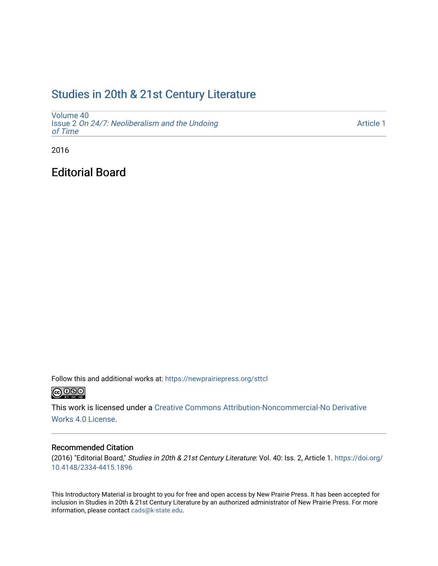## [Studies in 20th & 21st Century Literature](https://newprairiepress.org/sttcl)

[Volume 40](https://newprairiepress.org/sttcl/vol40) Issue 2 [On 24/7: Neoliberalism and the Undoing](https://newprairiepress.org/sttcl/vol40/iss2)  [of Time](https://newprairiepress.org/sttcl/vol40/iss2) 

[Article 1](https://newprairiepress.org/sttcl/vol40/iss2/1) 

2016

Editorial Board

Follow this and additional works at: [https://newprairiepress.org/sttcl](https://newprairiepress.org/sttcl?utm_source=newprairiepress.org%2Fsttcl%2Fvol40%2Fiss2%2F1&utm_medium=PDF&utm_campaign=PDFCoverPages)   $\bigcirc$  0  $\circ$  0

This work is licensed under a [Creative Commons Attribution-Noncommercial-No Derivative](https://creativecommons.org/licenses/by-nc-nd/4.0/) 

[Works 4.0 License](https://creativecommons.org/licenses/by-nc-nd/4.0/).

### Recommended Citation

(2016) "Editorial Board," Studies in 20th & 21st Century Literature: Vol. 40: Iss. 2, Article 1. [https://doi.org/](https://doi.org/10.4148/2334-4415.1896) [10.4148/2334-4415.1896](https://doi.org/10.4148/2334-4415.1896)

This Introductory Material is brought to you for free and open access by New Prairie Press. It has been accepted for inclusion in Studies in 20th & 21st Century Literature by an authorized administrator of New Prairie Press. For more information, please contact [cads@k-state.edu](mailto:cads@k-state.edu).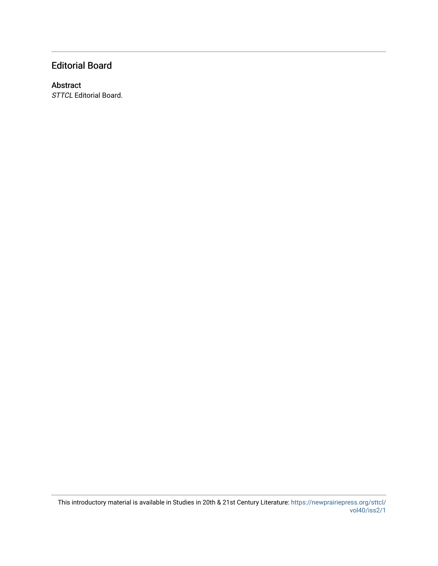## Editorial Board

### Abstract

STTCL Editorial Board.

This introductory material is available in Studies in 20th & 21st Century Literature: [https://newprairiepress.org/sttcl/](https://newprairiepress.org/sttcl/vol40/iss2/1) [vol40/iss2/1](https://newprairiepress.org/sttcl/vol40/iss2/1)